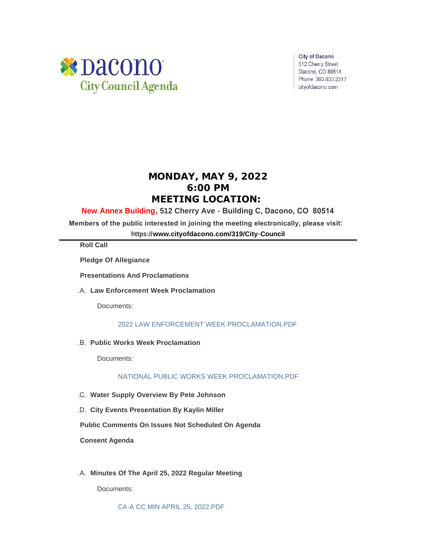

**City of Dacono** 512 Cherry Street Dacono, CO 80514 Phone: 303.833.2317 cityofdacono.com

# **MONDAY, MAY 9, 2022 6:00 PM MEETING LOCATION:**

## **New Annex Building, 512 Cherry Ave - Building C, Dacono, CO 80514**

**Members of the public interested in joining the meeting electronically, please visit:** 

**https://[www.cityofdacono.com/319/City-Council](http://www.cityofdacono.com/319/City-Council)**

**Roll Call**

**Pledge Of Allegiance** 

**Presentations And Proclamations**

**Law Enforcement Week Proclamation**  .A.

Documents:

### [2022 LAW ENFORCEMENT WEEK PROCLAMATION.PDF](https://www.cityofdacono.com/AgendaCenter/ViewFile/Item/2074?fileID=2920)

**Public Works Week Proclamation** .B.

Documents:

[NATIONAL PUBLIC WORKS WEEK PROCLAMATION.PDF](https://www.cityofdacono.com/AgendaCenter/ViewFile/Item/2075?fileID=2921)

- **Water Supply Overview By Pete Johnson** .C.
- **City Events Presentation By Kaylin Miller** .D.

**Public Comments On Issues Not Scheduled On Agenda**

**Consent Agenda**

**Minutes Of The April 25, 2022 Regular Meeting** .A.

Documents: